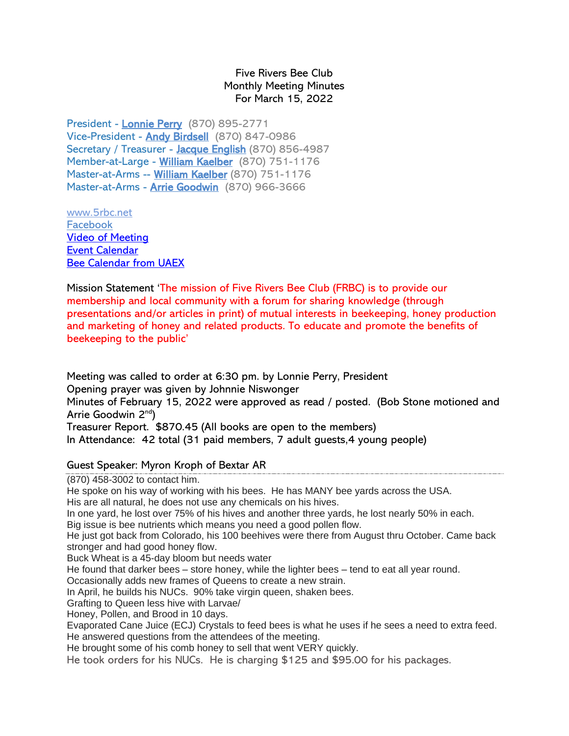## Five Rivers Bee Club Monthly Meeting Minutes For March 15, 2022

President - [Lonnie Perry](mailto:lonnieperry1@aol.com) (870) 895-2771 Vice-President - [Andy Birdsell](mailto:birdselladj@yahoo.com) (870) 847-0986 Secretary / Treasurer - [Jacque English](mailto:unitsi@rpge.net) (870) 856-4987 Member-at-Large - [William Kaelber](mailto:druidjax@gmail.com) (870) 751-1176 Master-at-Arms -- [William Kaelber](mailto:druidjax@gmail.com) (870) 751-1176 Master-at-Arms - [Arrie Goodwin](mailto:arrei1@centurylink.net) (870) 966-3666

[www.5rbc.net](http://www.5rbc.net/) [Facebook](https://www.facebook.com/groups/590964444394870/) [Video of Meeting](http://5rbc.net/Media/Movies/2022/20220315.MP4) [Event Calendar](http://5rbc.net/events.html) [Bee Calendar from UAEX](https://www.uaex.uada.edu/farm-ranch/special-programs/beekeeping/calendar.aspx)

Mission Statement 'The mission of Five Rivers Bee Club (FRBC) is to provide our membership and local community with a forum for sharing knowledge (through presentations and/or articles in print) of mutual interests in beekeeping, honey production and marketing of honey and related products. To educate and promote the benefits of beekeeping to the public'

Meeting was called to order at 6:30 pm. by Lonnie Perry, President Opening prayer was given by Johnnie Niswonger Minutes of February 15, 2022 were approved as read / posted. (Bob Stone motioned and Arrie Goodwin 2<sup>nd</sup>) Treasurer Report. \$870.45 (All books are open to the members) In Attendance: 42 total (31 paid members, 7 adult guests,4 young people)

## Guest Speaker: Myron Kroph of Bextar AR

(870) 458-3002 to contact him.

He spoke on his way of working with his bees. He has MANY bee yards across the USA.

His are all natural, he does not use any chemicals on his hives.

In one yard, he lost over 75% of his hives and another three yards, he lost nearly 50% in each.

Big issue is bee nutrients which means you need a good pollen flow.

He just got back from Colorado, his 100 beehives were there from August thru October. Came back stronger and had good honey flow.

Buck Wheat is a 45-day bloom but needs water

He found that darker bees – store honey, while the lighter bees – tend to eat all year round.

Occasionally adds new frames of Queens to create a new strain.

In April, he builds his NUCs. 90% take virgin queen, shaken bees.

Grafting to Queen less hive with Larvae/

Honey, Pollen, and Brood in 10 days.

Evaporated Cane Juice (ECJ) Crystals to feed bees is what he uses if he sees a need to extra feed. He answered questions from the attendees of the meeting.

He brought some of his comb honey to sell that went VERY quickly.

He took orders for his NUCs. He is charging \$125 and \$95.00 for his packages.